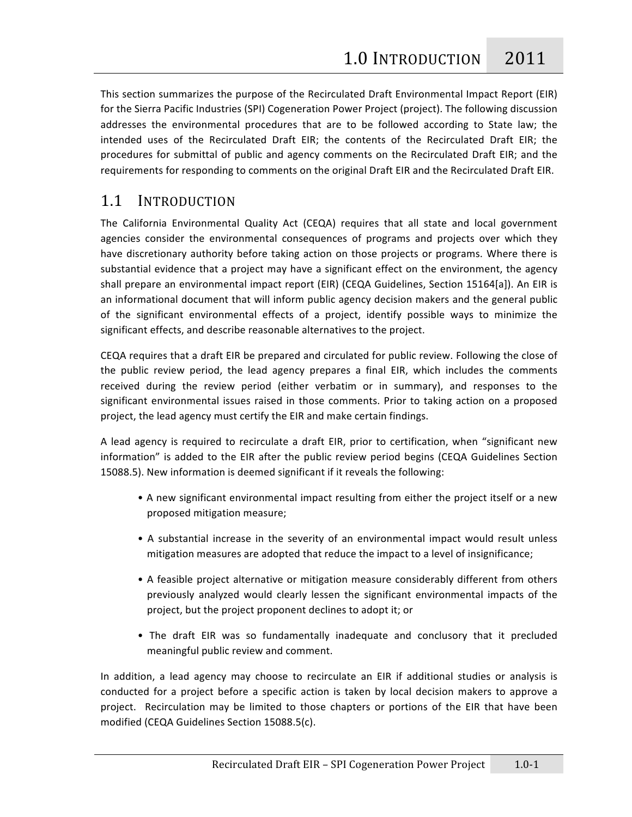This
section
summarizes
the
purpose
of
the
Recirculated
Draft
Environmental
Impact
Report
(EIR) for the Sierra Pacific Industries (SPI) Cogeneration Power Project (project). The following discussion addresses the environmental procedures that are to be followed according to State law; the intended uses of the Recirculated Draft EIR; the contents of the Recirculated Draft EIR; the procedures for submittal of public and agency comments on the Recirculated Draft EIR; and the requirements for responding to comments on the original Draft EIR and the Recirculated Draft EIR.

# 1.1
 INTRODUCTION

The California Environmental Quality Act (CEQA) requires that all state and local government agencies consider the environmental consequences of programs and projects over which they have discretionary authority before taking action on those projects or programs. Where there is substantial evidence that a project may have a significant effect on the environment, the agency shall prepare an environmental impact report (EIR) (CEQA Guidelines, Section 15164[a]). An EIR is an informational document that will inform public agency decision makers and the general public of the significant environmental effects of a project, identify possible ways to minimize the significant effects, and describe reasonable alternatives to the project.

CEQA
requires
that
a
draft
EIR
be
prepared
and
circulated
for
public
review.
Following
the
close
of the
 public
 review
 period,
 the
 lead
 agency
 prepares
 a
 final
 EIR,
 which
 includes
 the
 comments received during the review period (either verbatim or in summary), and responses to the significant environmental issues raised in those comments. Prior to taking action on a proposed project,
the
lead
agency
must
certify
the
EIR
and
make
certain
findings.

A lead agency is required to recirculate a draft EIR, prior to certification, when "significant new information" is added to the EIR after the public review period begins (CEQA Guidelines Section 15088.5). New information is deemed significant if it reveals the following:

- A new significant environmental impact resulting from either the project itself or a new proposed
mitigation
measure;
- A substantial increase in the severity of an environmental impact would result unless mitigation measures are adopted that reduce the impact to a level of insignificance;
- A feasible project alternative or mitigation measure considerably different from others previously analyzed would clearly lessen the significant environmental impacts of the project, but the project proponent declines to adopt it; or
- The draft EIR was so fundamentally inadequate and conclusory that it precluded meaningful
public
review
and
comment.

In addition, a lead agency may choose to recirculate an EIR if additional studies or analysis is conducted for a project before a specific action is taken by local decision makers to approve a project. Recirculation may be limited to those chapters or portions of the EIR that have been modified
(CEQA
Guidelines
Section
15088.5(c).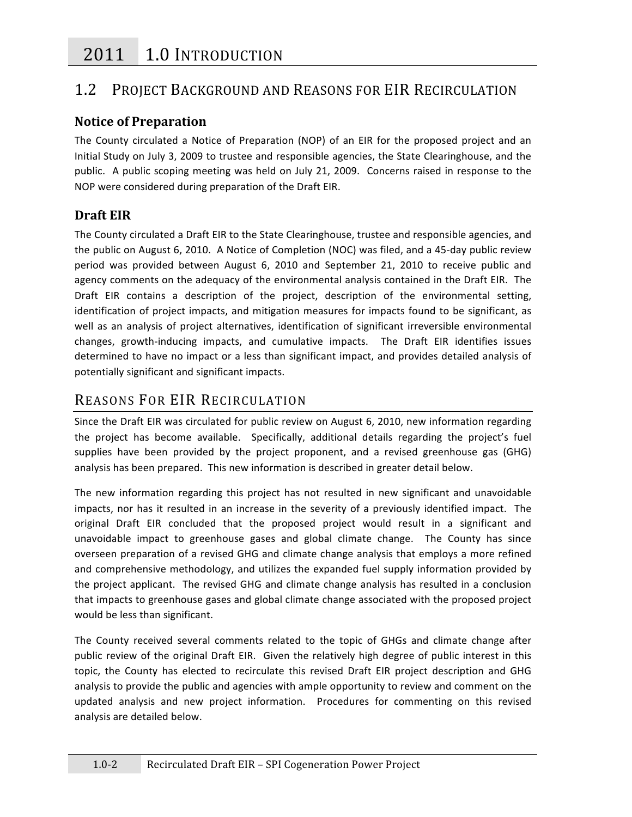# 1.2 PROJECT BACKGROUND AND REASONS FOR EIR RECIRCULATION

### **Notice
of
Preparation**

The County circulated a Notice of Preparation (NOP) of an EIR for the proposed project and an Initial Study on July 3, 2009 to trustee and responsible agencies, the State Clearinghouse, and the public. A public scoping meeting was held on July 21, 2009. Concerns raised in response to the NOP
were
considered
during
preparation
of
the
Draft
EIR.

### **Draft
EIR**

The County circulated a Draft EIR to the State Clearinghouse, trustee and responsible agencies, and the public on August 6, 2010. A Notice of Completion (NOC) was filed, and a 45-day public review period was provided between August 6, 2010 and September 21, 2010 to receive public and agency comments on the adequacy of the environmental analysis contained in the Draft EIR. The Draft EIR contains a description of the project, description of the environmental setting, identification of project impacts, and mitigation measures for impacts found to be significant, as well as an analysis of project alternatives, identification of significant irreversible environmental changes, growth-inducing impacts, and cumulative impacts. The Draft EIR identifies issues determined to have no impact or a less than significant impact, and provides detailed analysis of potentially
significant
and
significant
impacts.

### REASONS FOR EIR RECIRCULATION

Since the Draft EIR was circulated for public review on August 6, 2010, new information regarding the project has become available. Specifically, additional details regarding the project's fuel supplies have been provided by the project proponent, and a revised greenhouse gas (GHG) analysis
has
been
prepared.

This
new
information
is
described
in
greater
detail
below.

The new information regarding this project has not resulted in new significant and unavoidable impacts, nor has it resulted in an increase in the severity of a previously identified impact. The original Draft EIR concluded that the proposed project would result in a significant and unavoidable impact to greenhouse gases and global climate change. The County has since overseen
preparation
of
a
revised
GHG
and
climate
change
analysis
 that
employs
a
more
refined and comprehensive methodology, and utilizes the expanded fuel supply information provided by the project applicant. The revised GHG and climate change analysis has resulted in a conclusion that
impacts
to
greenhouse
gases
and
global
climate
change
associated
with
the
proposed
project would
be
less
than
significant.

The County received several comments related to the topic of GHGs and climate change after public review of the original Draft EIR. Given the relatively high degree of public interest in this topic, the County has elected to recirculate this revised Draft EIR project description and GHG analysis to provide the public and agencies with ample opportunity to review and comment on the updated analysis and new project information. Procedures for commenting on this revised analysis
are
detailed
below.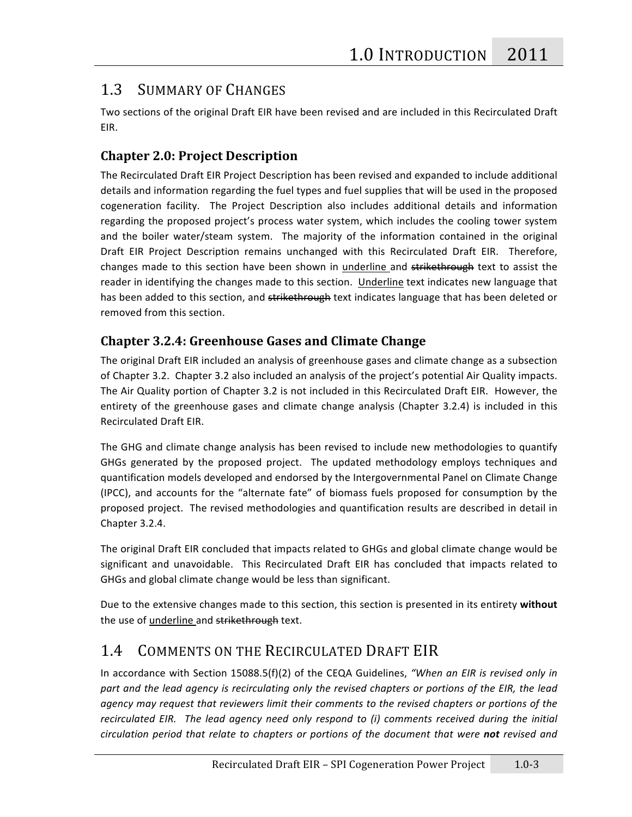# 1.3
 SUMMARY
OF
CHANGES

Two sections of the original Draft EIR have been revised and are included in this Recirculated Draft EIR.

### **Chapter
2.0:
Project
Description**

The
Recirculated
Draft
EIR
Project
Description
has
been
revised
and
expanded
to
include
additional details and information regarding the fuel types and fuel supplies that will be used in the proposed cogeneration facility. The Project Description also includes additional details and information regarding the proposed project's process water system, which includes the cooling tower system and the boiler water/steam system. The majority of the information contained in the original Draft EIR Project Description remains unchanged with this Recirculated Draft EIR. Therefore, changes made to this section have been shown in underline and strikethrough text to assist the reader in identifying the changes made to this section. Underline text indicates new language that has been added to this section, and strikethrough text indicates language that has been deleted or removed
from
this
section.

#### **Chapter
3.2.4:
Greenhouse
Gases
and
Climate
Change**

The
original
Draft
EIR
included
an
analysis
of
greenhouse
gases
and
climate
change
as
a
subsection of Chapter 3.2. Chapter 3.2 also included an analysis of the project's potential Air Quality impacts. The Air Quality portion of Chapter 3.2 is not included in this Recirculated Draft EIR. However, the entirety of the greenhouse gases and climate change analysis (Chapter 3.2.4) is included in this Recirculated
Draft
EIR.

The GHG and climate change analysis has been revised to include new methodologies to quantify GHGs generated by the proposed project. The updated methodology employs techniques and quantification
models
developed
and
endorsed
by
the
Intergovernmental
Panel
on
Climate
Change (IPCC),
 and
 accounts
 for
 the
 "alternate
 fate"
 of
 biomass
 fuels
 proposed
 for
 consumption
 by
 the proposed
project.

The
revised
methodologies
and
quantification
results
are
described
in
detail
in Chapter
3.2.4.

The
original
Draft
EIR
concluded
that
impacts
related
to
GHGs
and
global
climate
change
would
be significant and unavoidable. This Recirculated Draft EIR has concluded that impacts related to GHGs
and
global
climate
change
would
be
less
than
significant.

Due to the extensive changes made to this section, this section is presented in its entirety without the
use
of
underline
and
strikethrough
text.

# 1.4
 COMMENTS
ON
THE
RECIRCULATED
DRAFT
EIR

In accordance with Section 15088.5(f)(2) of the CEQA Guidelines, "When an EIR is revised only in part and the lead agency is recirculating only the revised chapters or portions of the EIR, the lead agency may request that reviewers limit their comments to the revised chapters or portions of the recirculated EIR. The lead agency need only respond to (i) comments received during the initial *circulation
 period
 that
 relate
 to
 chapters
 or
 portions
 of
 the
 document
 that
were not revised
 and*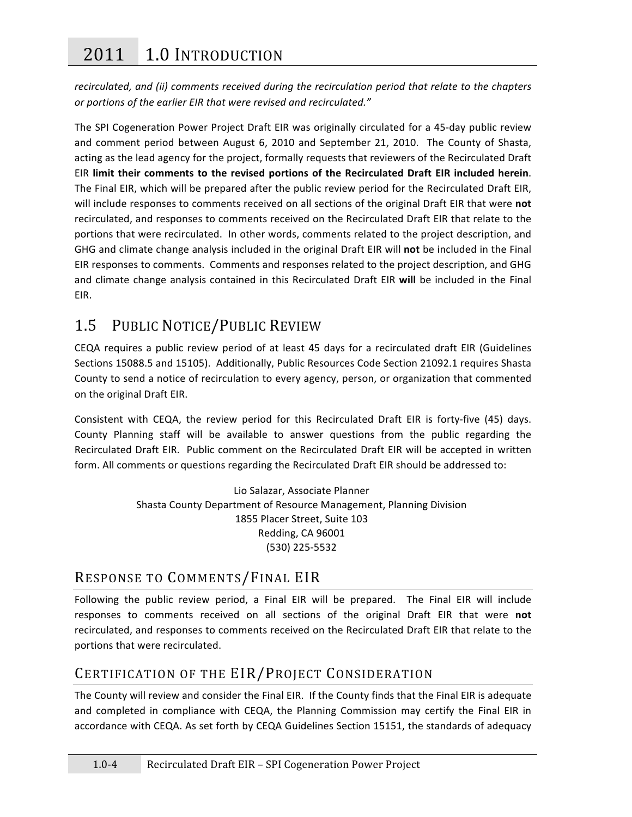# 2011 1.0 INTRODUCTION

recirculated, and (ii) comments received during the recirculation period that relate to the chapters or portions of the earlier EIR that were revised and recirculated."

The SPI Cogeneration Power Project Draft EIR was originally circulated for a 45-day public review and comment period between August 6, 2010 and September 21, 2010. The County of Shasta, acting
as
the
lead
agency
for
the
project,
formally
requests
that
reviewers
of
the
Recirculated
Draft EIR limit their comments to the revised portions of the Recirculated Draft EIR included herein. The Final EIR, which will be prepared after the public review period for the Recirculated Draft EIR, will include responses to comments received on all sections of the original Draft EIR that were not recirculated, and responses to comments received on the Recirculated Draft EIR that relate to the portions that were recirculated. In other words, comments related to the project description, and GHG and climate change analysis included in the original Draft EIR will not be included in the Final EIR
responses
to
comments.

Comments
and
responses
related
to
the
project
description,
and
GHG and climate change analysis contained in this Recirculated Draft EIR will be included in the Final EIR.

# 1.5
 PUBLIC
NOTICE/PUBLIC
REVIEW

CEQA requires a public review period of at least 45 days for a recirculated draft EIR (Guidelines Sections 15088.5 and 15105). Additionally, Public Resources Code Section 21092.1 requires Shasta County
to
send
a
notice
of
recirculation
to
every
agency,
person,
or
organization
that
commented on
the
original
Draft
EIR.

Consistent with CEQA, the review period for this Recirculated Draft EIR is forty-five (45) days. County Planning staff will be available to answer questions from the public regarding the Recirculated Draft EIR. Public comment on the Recirculated Draft EIR will be accepted in written form. All comments or questions regarding the Recirculated Draft EIR should be addressed to:

> Lio
> Salazar,
> Associate
> Planner Shasta
> County
> Department
> of
> Resource
> Management,
> Planning
> Division 1855
> Placer
> Street,
> Suite
> 103 Redding,
> CA
> 96001 (530)
> 225‐5532

# RESPONSE
TO
COMMENTS/FINAL
EIR

Following the public review period, a Final EIR will be prepared. The Final EIR will include responses to comments received on all sections of the original Draft EIR that were not recirculated, and responses to comments received on the Recirculated Draft EIR that relate to the portions
that
were
recirculated.

# CERTIFICATION OF THE EIR/PROJECT CONSIDERATION

The County will review and consider the Final EIR. If the County finds that the Final EIR is adequate and completed in compliance with CEQA, the Planning Commission may certify the Final EIR in accordance with CEQA. As set forth by CEQA Guidelines Section 15151, the standards of adequacy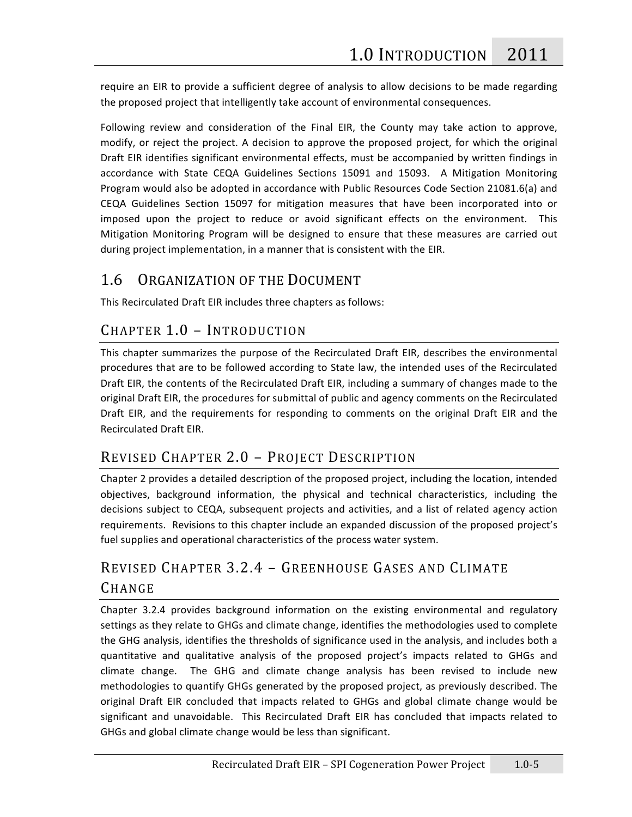require an EIR to provide a sufficient degree of analysis to allow decisions to be made regarding the
proposed
project
that
intelligently
take
account
of
environmental
consequences.

Following review and consideration of the Final EIR, the County may take action to approve, modify, or reject the project. A decision to approve the proposed project, for which the original Draft EIR identifies significant environmental effects, must be accompanied by written findings in accordance
 with
 State
 CEQA
 Guidelines
 Sections
 15091
 and
 15093.

 A
 Mitigation
 Monitoring Program would also be adopted in accordance with Public Resources Code Section 21081.6(a) and CEQA Guidelines Section 15097 for mitigation measures that have been incorporated into or imposed upon the project to reduce or avoid significant effects on the environment. This Mitigation Monitoring Program will be designed to ensure that these measures are carried out during project implementation, in a manner that is consistent with the EIR.

### 1.6
 ORGANIZATION
OF
THE
DOCUMENT

This
Recirculated
Draft
EIR
includes
three
chapters
as
follows:

# CHAPTER 1.0 - INTRODUCTION

This chapter summarizes the purpose of the Recirculated Draft EIR, describes the environmental procedures
that
are
to
be
 followed
according
to
State
law,
the
intended
uses
of
the
Recirculated Draft EIR, the contents of the Recirculated Draft EIR, including a summary of changes made to the original Draft EIR, the procedures for submittal of public and agency comments on the Recirculated Draft EIR, and the requirements for responding to comments on the original Draft EIR and the Recirculated
Draft
EIR.

### REVISED CHAPTER 2.0 - PROJECT DESCRIPTION

Chapter
2
provides
a
detailed
description
of
the
proposed
project,
including
the
location,
intended objectives,
 background
 information,
 the
 physical
 and
 technical
 characteristics,
 including
 the decisions subject to CEQA, subsequent projects and activities, and a list of related agency action requirements. Revisions to this chapter include an expanded discussion of the proposed project's fuel supplies and operational characteristics of the process water system.

# REVISED CHAPTER 3.2.4 - GREENHOUSE GASES AND CLIMATE

#### CHANGE

Chapter 3.2.4 provides background information on the existing environmental and regulatory settings as they relate to GHGs and climate change, identifies the methodologies used to complete the GHG analysis, identifies the thresholds of significance used in the analysis, and includes both a quantitative and qualitative analysis of the proposed project's impacts related to GHGs and climate change. The GHG and climate change analysis has been revised to include new methodologies to quantify GHGs generated by the proposed project, as previously described. The original Draft EIR concluded that impacts related to GHGs and global climate change would be significant and unavoidable. This Recirculated Draft EIR has concluded that impacts related to GHGs and global climate change would be less than significant.